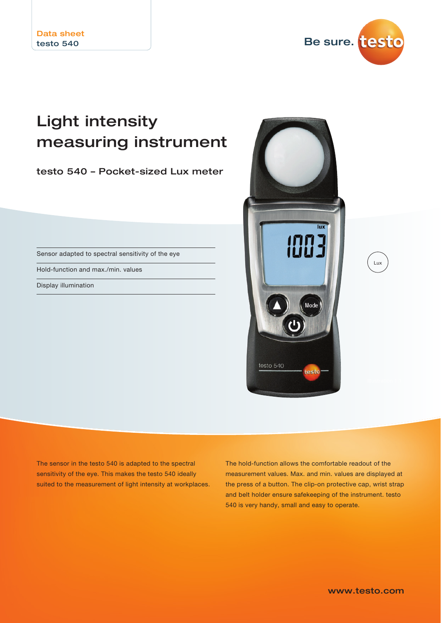

## Light intensity measuring instrument

testo 540 – Pocket-sized Lux meter

Sensor adapted to spectral sensitivity of the eye

Hold-function and max./min. values

Display illumination



The sensor in the testo 540 is adapted to the spectral sensitivity of the eye. This makes the testo 540 ideally suited to the measurement of light intensity at workplaces. The hold-function allows the comfortable readout of the measurement values. Max. and min. values are displayed at the press of a button. The clip-on protective cap, wrist strap and belt holder ensure safekeeping of the instrument. testo 540 is very handy, small and easy to operate.